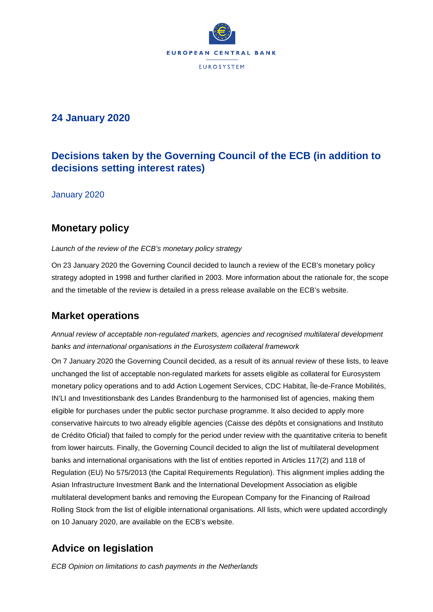

## **24 January 2020**

# **Decisions taken by the Governing Council of the ECB (in addition to decisions setting interest rates)**

January 2020

# **Monetary policy**

*Launch of the review of the ECB's monetary policy strategy* 

On 23 January 2020 the Governing Council decided to launch a review of the ECB's monetary policy strategy adopted in 1998 and further clarified in 2003. More information about the rationale for, the scope and the timetable of the review is detailed in a press release available on the ECB's website.

## **Market operations**

*Annual review of acceptable non-regulated markets, agencies and recognised multilateral development banks and international organisations in the Eurosystem collateral framework* 

On 7 January 2020 the Governing Council decided, as a result of its annual review of these lists, to leave unchanged the list of acceptable non-regulated markets for assets eligible as collateral for Eurosystem monetary policy operations and to add Action Logement Services, CDC Habitat, Île-de-France Mobilités, IN'LI and Investitionsbank des Landes Brandenburg to the harmonised list of agencies, making them eligible for purchases under the public sector purchase programme. It also decided to apply more conservative haircuts to two already eligible agencies (Caisse des dépôts et consignations and Instituto de Crédito Oficial) that failed to comply for the period under review with the quantitative criteria to benefit from lower haircuts. Finally, the Governing Council decided to align the list of multilateral development banks and international organisations with the list of entities reported in Articles 117(2) and 118 of Regulation (EU) No 575/2013 (the Capital Requirements Regulation). This alignment implies adding the Asian Infrastructure Investment Bank and the International Development Association as eligible multilateral development banks and removing the European Company for the Financing of Railroad Rolling Stock from the list of eligible international organisations. All lists, which were updated accordingly on 10 January 2020, are available on the ECB's website.

# **Advice on legislation**

*ECB Opinion on limitations to cash payments in the Netherlands*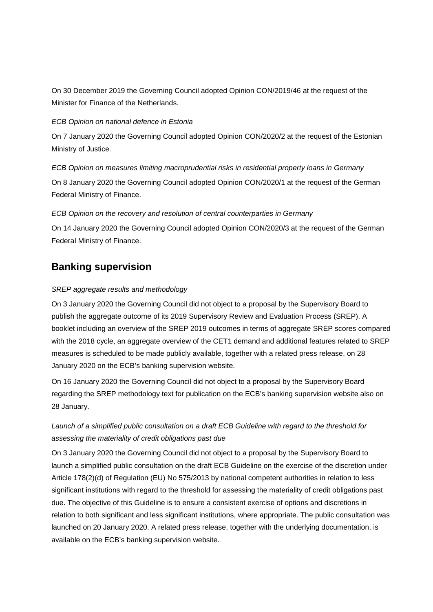On 30 December 2019 the Governing Council adopted Opinion CON/2019/46 at the request of the Minister for Finance of the Netherlands.

#### *ECB Opinion on national defence in Estonia*

On 7 January 2020 the Governing Council adopted Opinion CON/2020/2 at the request of the Estonian Ministry of Justice.

*ECB Opinion on measures limiting macroprudential risks in residential property loans in Germany*  On 8 January 2020 the Governing Council adopted Opinion CON/2020/1 at the request of the German Federal Ministry of Finance.

#### *ECB Opinion on the recovery and resolution of central counterparties in Germany*

On 14 January 2020 the Governing Council adopted Opinion CON/2020/3 at the request of the German Federal Ministry of Finance.

### **Banking supervision**

#### *SREP aggregate results and methodology*

On 3 January 2020 the Governing Council did not object to a proposal by the Supervisory Board to publish the aggregate outcome of its 2019 Supervisory Review and Evaluation Process (SREP). A booklet including an overview of the SREP 2019 outcomes in terms of aggregate SREP scores compared with the 2018 cycle, an aggregate overview of the CET1 demand and additional features related to SREP measures is scheduled to be made publicly available, together with a related press release, on 28 January 2020 on the ECB's banking supervision website.

On 16 January 2020 the Governing Council did not object to a proposal by the Supervisory Board regarding the SREP methodology text for publication on the ECB's banking supervision website also on 28 January.

### *Launch of a simplified public consultation on a draft ECB Guideline with regard to the threshold for assessing the materiality of credit obligations past due*

On 3 January 2020 the Governing Council did not object to a proposal by the Supervisory Board to launch a simplified public consultation on the draft ECB Guideline on the exercise of the discretion under Article 178(2)(d) of Regulation (EU) No 575/2013 by national competent authorities in relation to less significant institutions with regard to the threshold for assessing the materiality of credit obligations past due. The objective of this Guideline is to ensure a consistent exercise of options and discretions in relation to both significant and less significant institutions, where appropriate. The public consultation was launched on 20 January 2020. A related press release, together with the underlying documentation, is available on the ECB's banking supervision website.